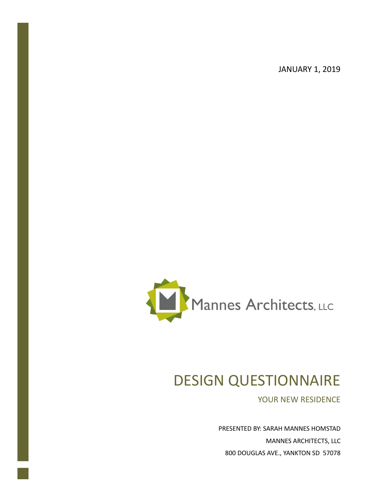JANUARY 1, 2019



# DESIGN QUESTIONNAIRE

YOUR NEW RESIDENCE

PRESENTED BY: SARAH MANNES HOMSTAD MANNES ARCHITECTS, LLC 800 DOUGLAS AVE., YANKTON SD 57078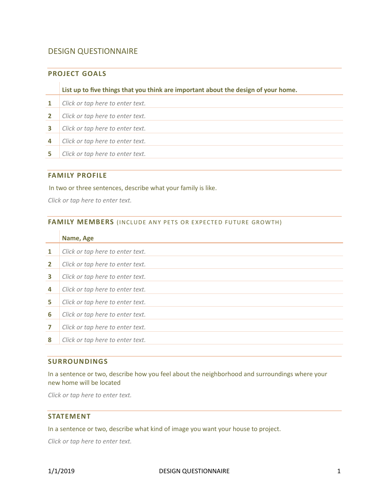# DESIGN QUESTIONNAIRE

# **PROJECT GOALS**

**List up to five things that you think are important about the design of your home.**

 *Click or tap here to enter text. Click or tap here to enter text. Click or tap here to enter text. Click or tap here to enter text. Click or tap here to enter text.*

# **FAMILY PROFILE**

In two or three sentences, describe what your family is like.

*Click or tap here to enter text.*

#### FAMILY MEMBERS (INCLUDE ANY PETS OR EXPECTED FUTURE GROWTH)

|              | Name, Age                        |
|--------------|----------------------------------|
| $\mathbf{1}$ | Click or tap here to enter text. |
| $\mathbf{2}$ | Click or tap here to enter text. |
| 3            | Click or tap here to enter text. |
| 4            | Click or tap here to enter text. |
| 5            | Click or tap here to enter text. |
| 6            | Click or tap here to enter text. |
| 7            | Click or tap here to enter text. |
| 8            | Click or tap here to enter text. |
|              |                                  |

#### **SURROUNDINGS**

In a sentence or two, describe how you feel about the neighborhood and surroundings where your new home will be located

*Click or tap here to enter text.*

## **STATEMENT**

In a sentence or two, describe what kind of image you want your house to project.

*Click or tap here to enter text.*